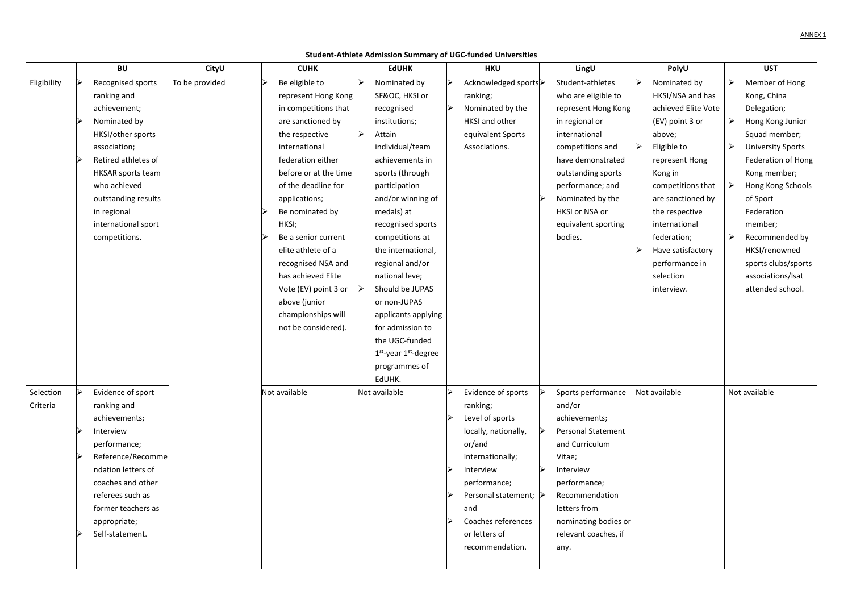|                       | <b>Student-Athlete Admission Summary of UGC-funded Universities</b> |                                                                                                                                                                                                                                                        |                |  |                                                                                                                                                                                                                                                                                                                                                                                                                        |                       |                                                                                                                                                                                                                                                                                                                                                                                                                                       |  |                                                                                                                                                                                                                                |  |                                                                                                                                                                                                                                                              |        |                                                                                                                                                                                                                                                                                                |                                                                                                                                                                                                                                                                                                                  |
|-----------------------|---------------------------------------------------------------------|--------------------------------------------------------------------------------------------------------------------------------------------------------------------------------------------------------------------------------------------------------|----------------|--|------------------------------------------------------------------------------------------------------------------------------------------------------------------------------------------------------------------------------------------------------------------------------------------------------------------------------------------------------------------------------------------------------------------------|-----------------------|---------------------------------------------------------------------------------------------------------------------------------------------------------------------------------------------------------------------------------------------------------------------------------------------------------------------------------------------------------------------------------------------------------------------------------------|--|--------------------------------------------------------------------------------------------------------------------------------------------------------------------------------------------------------------------------------|--|--------------------------------------------------------------------------------------------------------------------------------------------------------------------------------------------------------------------------------------------------------------|--------|------------------------------------------------------------------------------------------------------------------------------------------------------------------------------------------------------------------------------------------------------------------------------------------------|------------------------------------------------------------------------------------------------------------------------------------------------------------------------------------------------------------------------------------------------------------------------------------------------------------------|
|                       |                                                                     | <b>BU</b>                                                                                                                                                                                                                                              | CityU          |  | <b>CUHK</b>                                                                                                                                                                                                                                                                                                                                                                                                            |                       | <b>EdUHK</b>                                                                                                                                                                                                                                                                                                                                                                                                                          |  | <b>HKU</b>                                                                                                                                                                                                                     |  | LingU                                                                                                                                                                                                                                                        |        | PolyU                                                                                                                                                                                                                                                                                          | <b>UST</b>                                                                                                                                                                                                                                                                                                       |
| Eligibility           |                                                                     | Recognised sports<br>ranking and<br>achievement;<br>Nominated by<br>HKSI/other sports<br>association;<br>Retired athletes of<br><b>HKSAR</b> sports team<br>who achieved<br>outstanding results<br>in regional<br>international sport<br>competitions. | To be provided |  | Be eligible to<br>represent Hong Kong<br>in competitions that<br>are sanctioned by<br>the respective<br>international<br>federation either<br>before or at the time<br>of the deadline for<br>applications;<br>Be nominated by<br>HKSI;<br>Be a senior current<br>elite athlete of a<br>recognised NSA and<br>has achieved Elite<br>Vote (EV) point 3 or<br>above (junior<br>championships will<br>not be considered). | $\blacktriangleright$ | Nominated by<br>SF&OC, HKSI or<br>recognised<br>institutions;<br>Attain<br>individual/team<br>achievements in<br>sports (through<br>participation<br>and/or winning of<br>medals) at<br>recognised sports<br>competitions at<br>the international,<br>regional and/or<br>national leve;<br>Should be JUPAS<br>or non-JUPAS<br>applicants applying<br>for admission to<br>the UGC-funded<br>$1st$ -year $1st$ -degree<br>programmes of |  | Acknowledged sports ><br>ranking;<br>Nominated by the<br><b>HKSI</b> and other<br>equivalent Sports<br>Associations.                                                                                                           |  | Student-athletes<br>who are eligible to<br>represent Hong Kong<br>in regional or<br>international<br>competitions and<br>have demonstrated<br>outstanding sports<br>performance; and<br>Nominated by the<br>HKSI or NSA or<br>equivalent sporting<br>bodies. | ➤<br>➤ | Nominated by<br>HKSI/NSA and has<br>achieved Elite Vote<br>(EV) point 3 or<br>above;<br>Eligible to<br>represent Hong<br>Kong in<br>competitions that<br>are sanctioned by<br>the respective<br>international<br>federation;<br>Have satisfactory<br>performance in<br>selection<br>interview. | Member of Hong<br>Kong, China<br>Delegation;<br>Hong Kong Junior<br>Squad member;<br><b>University Sports</b><br>Federation of Hong<br>Kong member;<br>Hong Kong Schools<br>of Sport<br>Federation<br>member;<br>Recommended by<br>HKSI/renowned<br>sports clubs/sports<br>associations/Isat<br>attended school. |
| Selection<br>Criteria |                                                                     | Evidence of sport<br>ranking and<br>achievements;<br>Interview<br>performance;<br>Reference/Recomme<br>ndation letters of<br>coaches and other<br>referees such as<br>former teachers as<br>appropriate;<br>Self-statement.                            |                |  | Not available                                                                                                                                                                                                                                                                                                                                                                                                          |                       | EdUHK.<br>Not available                                                                                                                                                                                                                                                                                                                                                                                                               |  | Evidence of sports<br>ranking;<br>Level of sports<br>locally, nationally,<br>or/and<br>internationally;<br>Interview<br>performance;<br>Personal statement; ><br>and<br>Coaches references<br>or letters of<br>recommendation. |  | Sports performance<br>and/or<br>achievements;<br><b>Personal Statement</b><br>and Curriculum<br>Vitae;<br>Interview<br>performance;<br>Recommendation<br>letters from<br>nominating bodies or<br>relevant coaches, if<br>any.                                |        | Not available                                                                                                                                                                                                                                                                                  | Not available                                                                                                                                                                                                                                                                                                    |